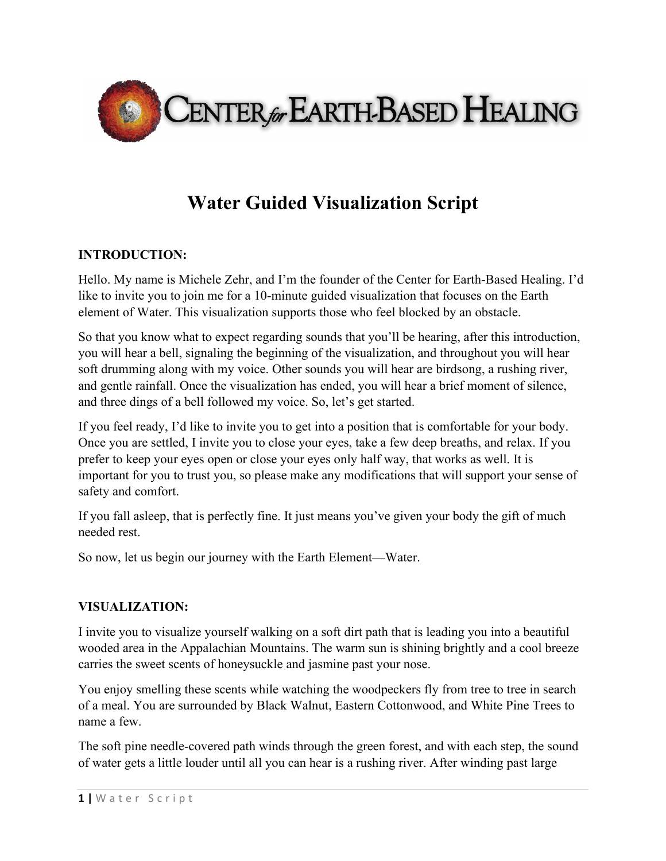

## **Water Guided Visualization Script**

## **INTRODUCTION:**

Hello. My name is Michele Zehr, and I'm the founder of the Center for Earth-Based Healing. I'd like to invite you to join me for a 10-minute guided visualization that focuses on the Earth element of Water. This visualization supports those who feel blocked by an obstacle.

So that you know what to expect regarding sounds that you'll be hearing, after this introduction, you will hear a bell, signaling the beginning of the visualization, and throughout you will hear soft drumming along with my voice. Other sounds you will hear are birdsong, a rushing river, and gentle rainfall. Once the visualization has ended, you will hear a brief moment of silence, and three dings of a bell followed my voice. So, let's get started.

If you feel ready, I'd like to invite you to get into a position that is comfortable for your body. Once you are settled, I invite you to close your eyes, take a few deep breaths, and relax. If you prefer to keep your eyes open or close your eyes only half way, that works as well. It is important for you to trust you, so please make any modifications that will support your sense of safety and comfort.

If you fall asleep, that is perfectly fine. It just means you've given your body the gift of much needed rest.

So now, let us begin our journey with the Earth Element—Water.

## **VISUALIZATION:**

I invite you to visualize yourself walking on a soft dirt path that is leading you into a beautiful wooded area in the Appalachian Mountains. The warm sun is shining brightly and a cool breeze carries the sweet scents of honeysuckle and jasmine past your nose.

You enjoy smelling these scents while watching the woodpeckers fly from tree to tree in search of a meal. You are surrounded by Black Walnut, Eastern Cottonwood, and White Pine Trees to name a few.

The soft pine needle-covered path winds through the green forest, and with each step, the sound of water gets a little louder until all you can hear is a rushing river. After winding past large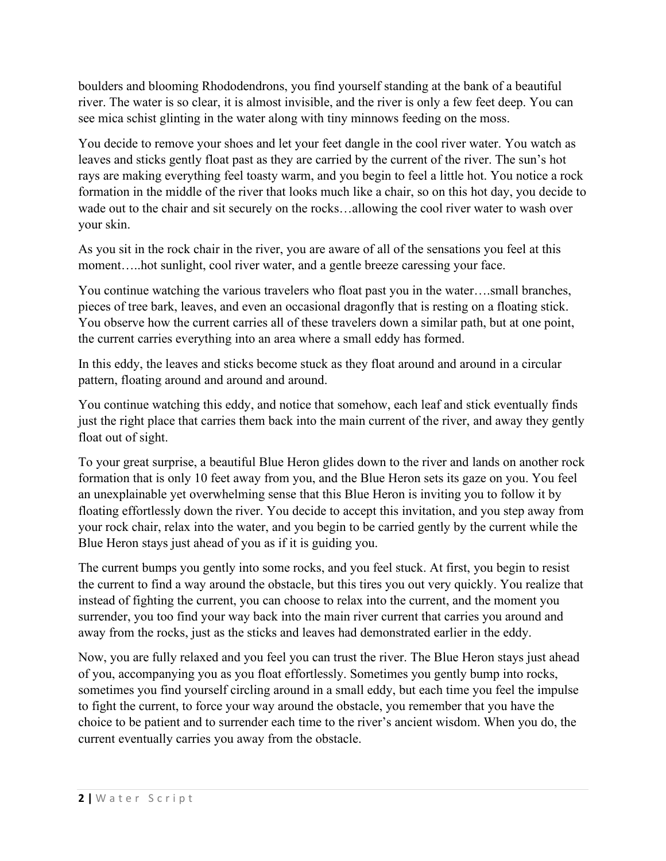boulders and blooming Rhododendrons, you find yourself standing at the bank of a beautiful river. The water is so clear, it is almost invisible, and the river is only a few feet deep. You can see mica schist glinting in the water along with tiny minnows feeding on the moss.

You decide to remove your shoes and let your feet dangle in the cool river water. You watch as leaves and sticks gently float past as they are carried by the current of the river. The sun's hot rays are making everything feel toasty warm, and you begin to feel a little hot. You notice a rock formation in the middle of the river that looks much like a chair, so on this hot day, you decide to wade out to the chair and sit securely on the rocks…allowing the cool river water to wash over your skin.

As you sit in the rock chair in the river, you are aware of all of the sensations you feel at this moment…..hot sunlight, cool river water, and a gentle breeze caressing your face.

You continue watching the various travelers who float past you in the water….small branches, pieces of tree bark, leaves, and even an occasional dragonfly that is resting on a floating stick. You observe how the current carries all of these travelers down a similar path, but at one point, the current carries everything into an area where a small eddy has formed.

In this eddy, the leaves and sticks become stuck as they float around and around in a circular pattern, floating around and around and around.

You continue watching this eddy, and notice that somehow, each leaf and stick eventually finds just the right place that carries them back into the main current of the river, and away they gently float out of sight.

To your great surprise, a beautiful Blue Heron glides down to the river and lands on another rock formation that is only 10 feet away from you, and the Blue Heron sets its gaze on you. You feel an unexplainable yet overwhelming sense that this Blue Heron is inviting you to follow it by floating effortlessly down the river. You decide to accept this invitation, and you step away from your rock chair, relax into the water, and you begin to be carried gently by the current while the Blue Heron stays just ahead of you as if it is guiding you.

The current bumps you gently into some rocks, and you feel stuck. At first, you begin to resist the current to find a way around the obstacle, but this tires you out very quickly. You realize that instead of fighting the current, you can choose to relax into the current, and the moment you surrender, you too find your way back into the main river current that carries you around and away from the rocks, just as the sticks and leaves had demonstrated earlier in the eddy.

Now, you are fully relaxed and you feel you can trust the river. The Blue Heron stays just ahead of you, accompanying you as you float effortlessly. Sometimes you gently bump into rocks, sometimes you find yourself circling around in a small eddy, but each time you feel the impulse to fight the current, to force your way around the obstacle, you remember that you have the choice to be patient and to surrender each time to the river's ancient wisdom. When you do, the current eventually carries you away from the obstacle.